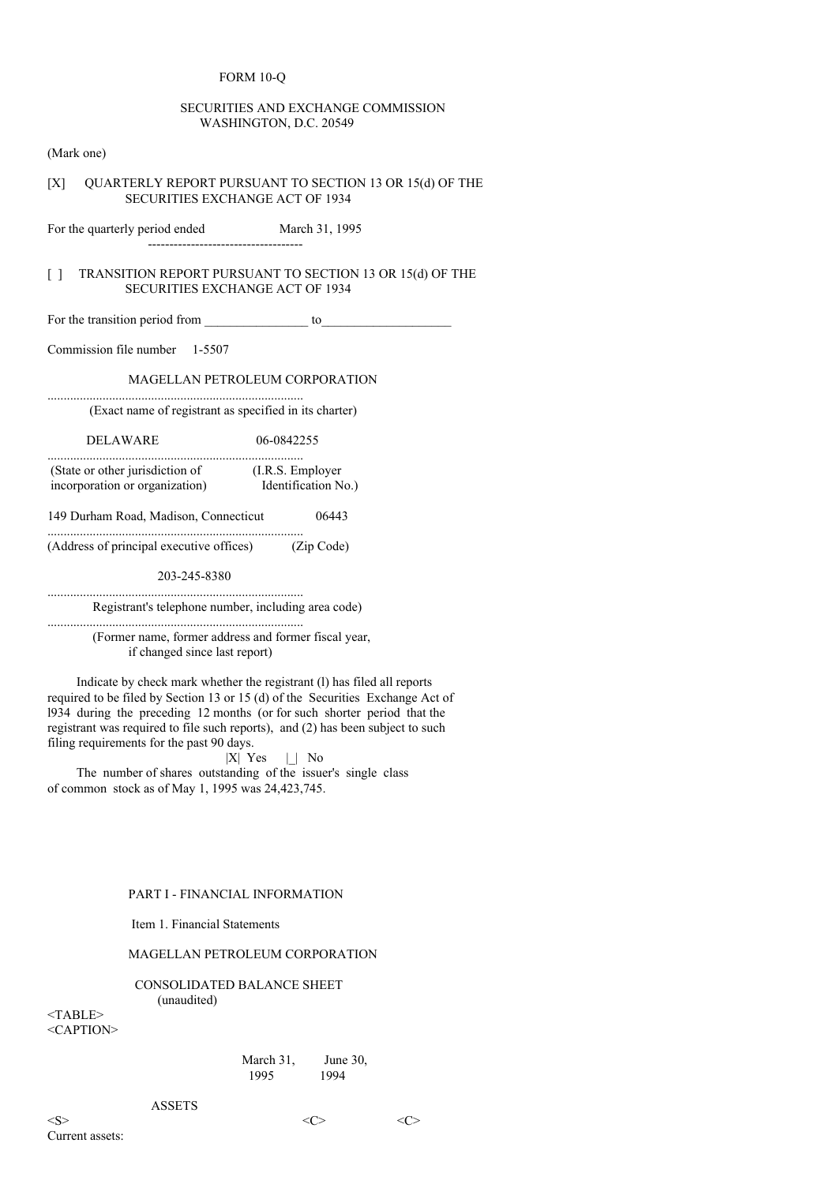### FORM 10-Q

### SECURITIES AND EXCHANGE COMMISSION WASHINGTON, D.C. 20549

(Mark one)

# [X] OUARTERLY REPORT PURSUANT TO SECTION 13 OR 15(d) OF THE SECURITIES EXCHANGE ACT OF 1934

For the quarterly period ended March 31, 1995 ------------------------------------

### [ ] TRANSITION REPORT PURSUANT TO SECTION 13 OR 15(d) OF THE SECURITIES EXCHANGE ACT OF 1934

For the transition period from \_\_\_\_\_\_\_\_\_\_\_\_\_\_\_\_ to\_\_\_\_\_\_\_\_\_\_\_\_\_\_\_\_\_\_\_\_

Commission file number 1-5507

# MAGELLAN PETROLEUM CORPORATION

(Exact name of registrant as specified in its charter)

DELAWARE 06-0842255

...............................................................................

| (State or other jurisdiction of | (I.R.S. Employer)   |
|---------------------------------|---------------------|
| incorporation or organization)  | Identification No.) |

149 Durham Road, Madison, Connecticut 06443

............................................................................... (Address of principal executive offices) (Zip Code)

203-245-8380

............................................................................... Registrant's telephone number, including area code)

............................................................................... (Former name, former address and former fiscal year, if changed since last report)

Indicate by check mark whether the registrant (l) has filed all reports required to be filed by Section 13 or 15 (d) of the Securities Exchange Act of l934 during the preceding 12 months (or for such shorter period that the registrant was required to file such reports), and (2) has been subject to such filing requirements for the past 90 days.

|X| Yes |\_| No

The number of shares outstanding of the issuer's single class of common stock as of May 1, 1995 was 24,423,745.

# PART I - FINANCIAL INFORMATION

Item 1. Financial Statements

### MAGELLAN PETROLEUM CORPORATION

CONSOLIDATED BALANCE SHEET (unaudited)

<TABLE> <CAPTION>

> March 31, June 30,<br>1995 1994 1994

**ASSETS**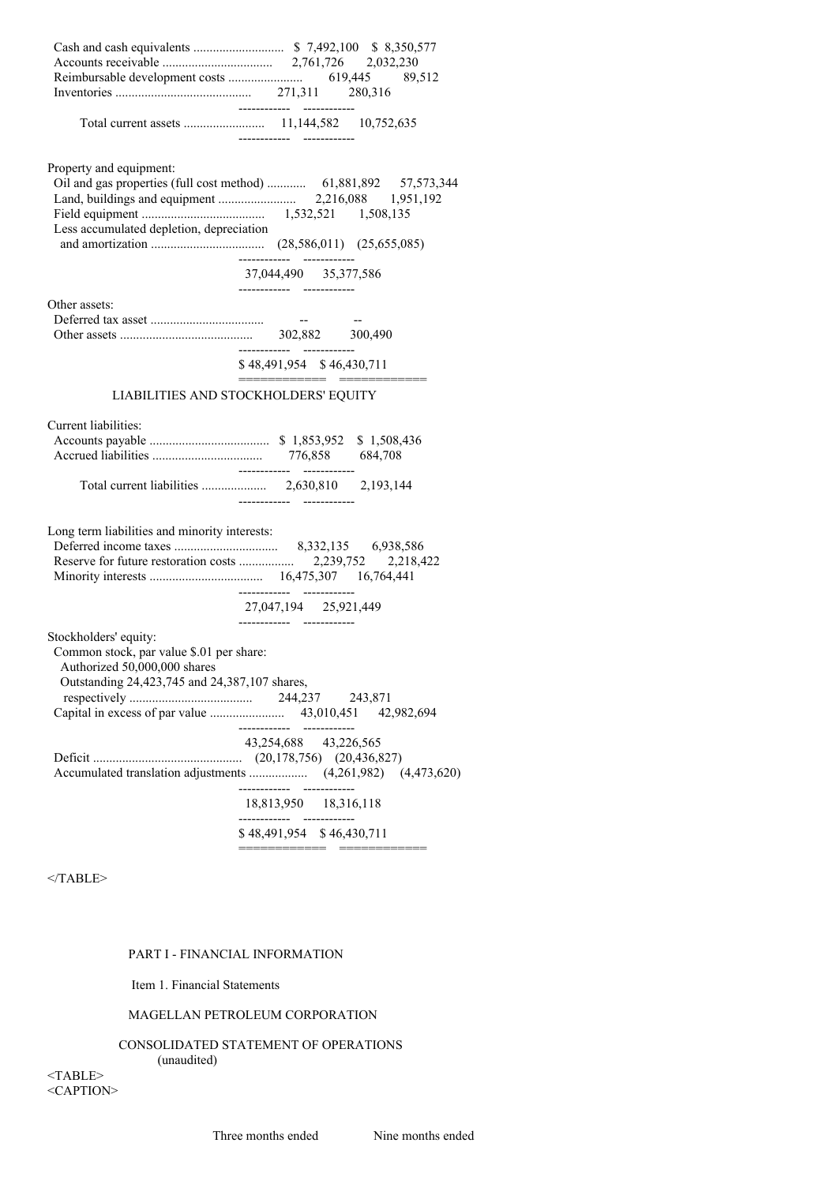| Property and equipment:<br>Less accumulated depletion, depreciation                                                                                | Oil and gas properties (full cost method)  61,881,892 57,573,344<br>37,044,490 35,377,586 |
|----------------------------------------------------------------------------------------------------------------------------------------------------|-------------------------------------------------------------------------------------------|
|                                                                                                                                                    |                                                                                           |
| Other assets:                                                                                                                                      | ------------ -----------                                                                  |
|                                                                                                                                                    | \$48,491,954 \$46,430,711                                                                 |
|                                                                                                                                                    | ==========================                                                                |
|                                                                                                                                                    | LIABILITIES AND STOCKHOLDERS' EQUITY                                                      |
|                                                                                                                                                    |                                                                                           |
| Current liabilities:                                                                                                                               |                                                                                           |
|                                                                                                                                                    |                                                                                           |
| Long term liabilities and minority interests:                                                                                                      | 27,047,194 25,921,449                                                                     |
| Stockholders' equity:<br>Common stock, par value \$.01 per share:<br>Authorized 50,000,000 shares<br>Outstanding 24,423,745 and 24,387,107 shares, |                                                                                           |
|                                                                                                                                                    | ----------- -----------<br>43,254,688 43,226,565                                          |
|                                                                                                                                                    | 18,813,950 18,316,118                                                                     |
|                                                                                                                                                    | ------------<br>\$48,491,954 \$46,430,711                                                 |
|                                                                                                                                                    |                                                                                           |

# PART I - FINANCIAL INFORMATION

Item 1. Financial Statements

# MAGELLAN PETROLEUM CORPORATION

CONSOLIDATED STATEMENT OF OPERATIONS

(unaudited)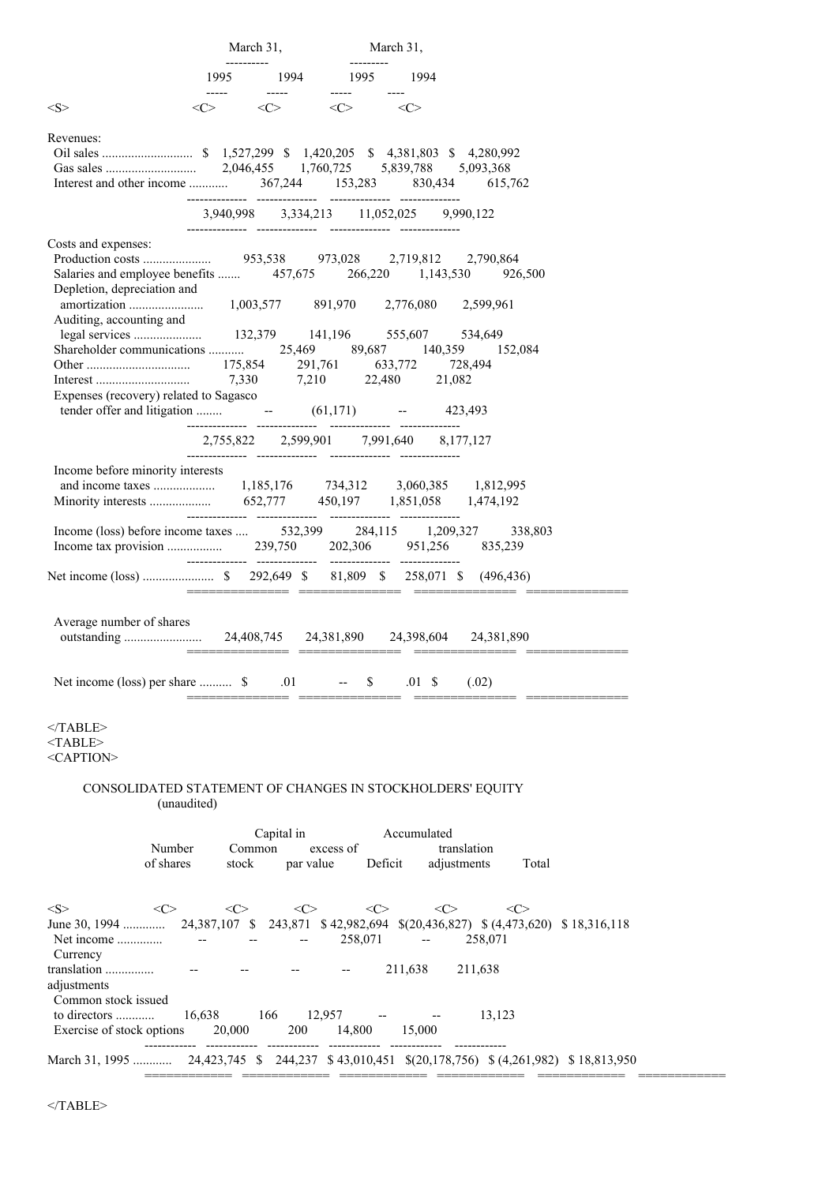|                                                                                                                                                                                                          | March 31,                                       | March 31,                                                                |                                                                                                                                           |  |
|----------------------------------------------------------------------------------------------------------------------------------------------------------------------------------------------------------|-------------------------------------------------|--------------------------------------------------------------------------|-------------------------------------------------------------------------------------------------------------------------------------------|--|
| 1995                                                                                                                                                                                                     | 1994 1995                                       | 1994<br>$---$                                                            |                                                                                                                                           |  |
| $<\!\!S\!\!>$                                                                                                                                                                                            | $\langle C \rangle$ $\langle C \rangle$         | $\langle C \rangle$                                                      |                                                                                                                                           |  |
| Revenues:                                                                                                                                                                                                |                                                 | 3,940,998 3,334,213 11,052,025 9,990,122                                 |                                                                                                                                           |  |
|                                                                                                                                                                                                          |                                                 |                                                                          |                                                                                                                                           |  |
| Costs and expenses:<br>Depletion, depreciation and<br>Auditing, accounting and<br>Shareholder communications<br>Expenses (recovery) related to Sagasco<br>tender offer and litigation $-61,171$ -423,493 | 7,210                                           | 1,003,577 891,970 2,776,080<br>25,469 89,687 140,359<br>22,480<br>21,082 | 926,500<br>2,599,961<br>534,649<br>152,084<br>728,494                                                                                     |  |
|                                                                                                                                                                                                          |                                                 | 2,755,822 2,599,901 7,991,640 8,177,127                                  |                                                                                                                                           |  |
| Income before minority interests                                                                                                                                                                         |                                                 |                                                                          |                                                                                                                                           |  |
| Income (loss) before income taxes  532,399 284,115 1,209,327                                                                                                                                             |                                                 |                                                                          | 338,803<br>835,239                                                                                                                        |  |
|                                                                                                                                                                                                          |                                                 |                                                                          |                                                                                                                                           |  |
| Average number of shares<br>Net income (loss) per share  \$                                                                                                                                              | .01                                             | \$<br>$.01\;\;{\rm S}$                                                   | (.02)                                                                                                                                     |  |
| $<$ /TABLE><br>$<$ TABLE><br><caption></caption>                                                                                                                                                         |                                                 |                                                                          |                                                                                                                                           |  |
| CONSOLIDATED STATEMENT OF CHANGES IN STOCKHOLDERS' EQUITY<br>(unaudited)                                                                                                                                 |                                                 |                                                                          |                                                                                                                                           |  |
| Number<br>of shares<br>stock                                                                                                                                                                             | Capital in<br>Common<br>excess of<br>par value  | Accumulated<br>Deficit                                                   | translation<br>adjustments<br>Total                                                                                                       |  |
| $<\ge$<br><<><br><<><br>June 30, 1994<br>Net income<br>$\hspace{0.05cm} -\hspace{0.05cm} -\hspace{0.05cm}$<br>Currency<br>translation                                                                    | $\langle C \rangle$<br>$\overline{\phantom{a}}$ | $<\infty$<br>258,071<br>$\overline{\phantom{a}}$<br>211,638              | $<\infty$<br>$\langle C \rangle$<br>24,387,107 \$ 243,871 \$ 42,982,694 \$(20,436,827) \$ (4,473,620) \$ 18,316,118<br>258,071<br>211,638 |  |
| adjustments<br>Common stock issued<br>to directors<br>16,638<br>Exercise of stock options<br>20,000                                                                                                      | 166<br>12,957<br>200                            | 14,800<br>15,000                                                         | 13,123                                                                                                                                    |  |
| March 31, 1995  24, 423, 745 \$244, 237 \$43, 010, 451 \$(20, 178, 756) \$(4, 261, 982) \$18, 813, 950                                                                                                   |                                                 |                                                                          |                                                                                                                                           |  |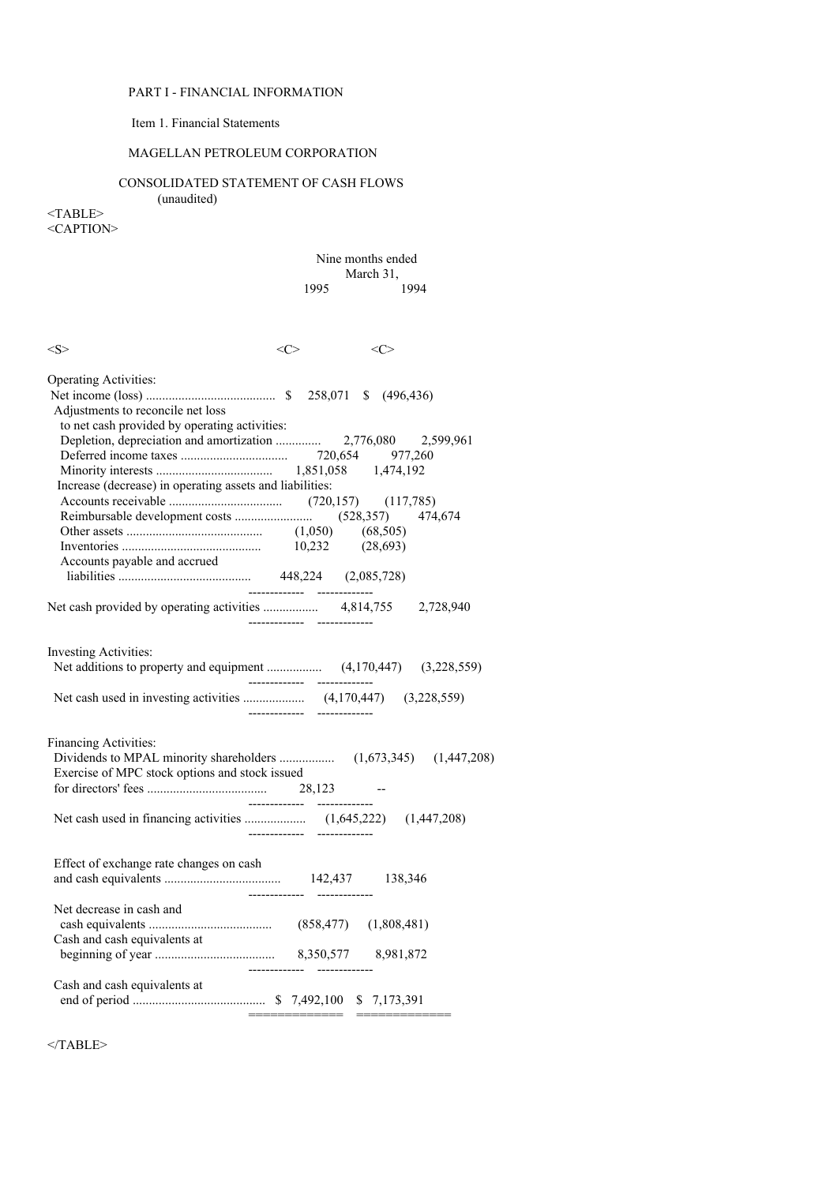# PART I - FINANCIAL INFORMATION

# Item 1. Financial Statements

# MAGELLAN PETROLEUM CORPORATION

# CONSOLIDATED STATEMENT OF CASH FLOWS

(unaudited)

<TABLE> <CAPTION>

### Nine months ended March 31, 1995 1994

| <s></s>                                                                                                                                                                                                        | $<\!\!C\!\!>$ | <c></c>                      |  |
|----------------------------------------------------------------------------------------------------------------------------------------------------------------------------------------------------------------|---------------|------------------------------|--|
| <b>Operating Activities:</b><br>Adjustments to reconcile net loss<br>to net cash provided by operating activities:<br>Increase (decrease) in operating assets and liabilities:<br>Accounts payable and accrued |               |                              |  |
|                                                                                                                                                                                                                |               |                              |  |
| Investing Activities:                                                                                                                                                                                          |               |                              |  |
| <b>Financing Activities:</b><br>Exercise of MPC stock options and stock issued                                                                                                                                 | 28,123        |                              |  |
|                                                                                                                                                                                                                | ------------- |                              |  |
| Effect of exchange rate changes on cash                                                                                                                                                                        |               |                              |  |
| Net decrease in cash and<br>Cash and cash equivalents at                                                                                                                                                       |               |                              |  |
| Cash and cash equivalents at                                                                                                                                                                                   |               | ============================ |  |

 $<$ /TABLE>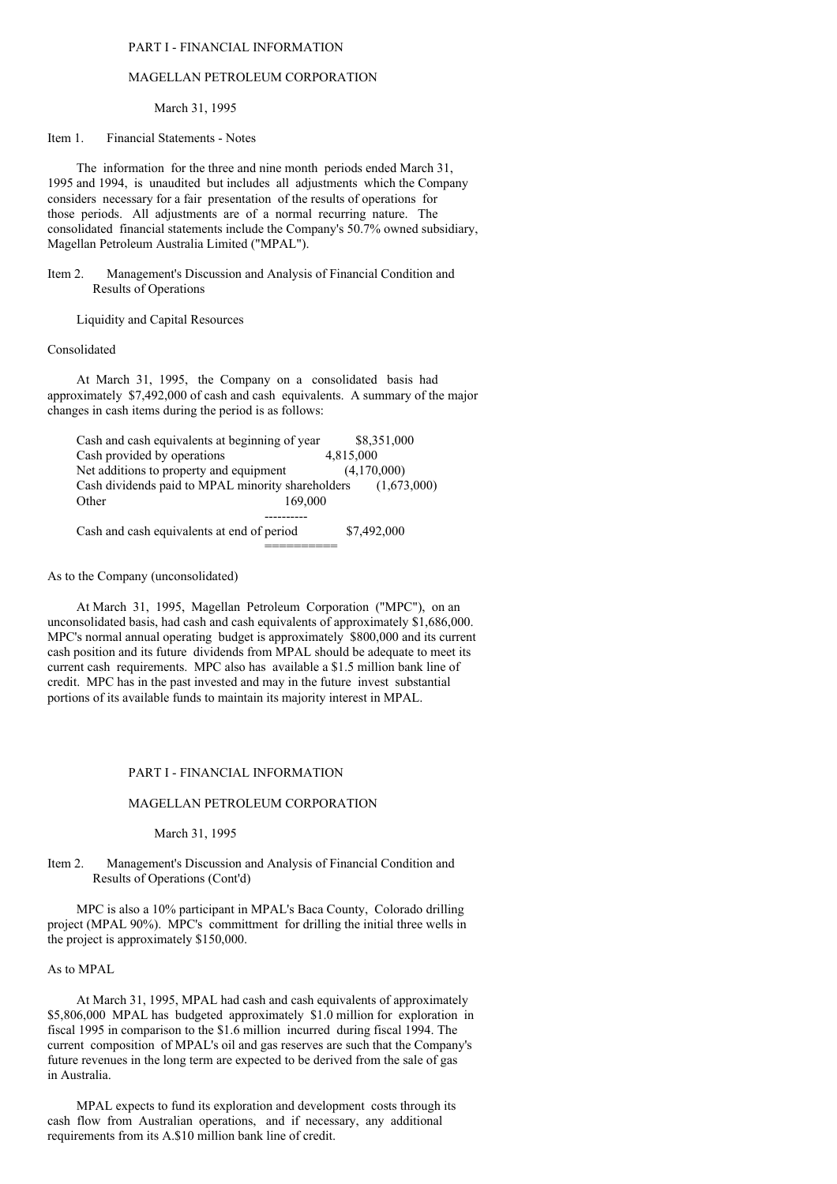### PART I - FINANCIAL INFORMATION

#### MAGELLAN PETROLEUM CORPORATION

March 31, 1995

Item 1. Financial Statements - Notes

The information for the three and nine month periods ended March 31, 1995 and 1994, is unaudited but includes all adjustments which the Company considers necessary for a fair presentation of the results of operations for those periods. All adjustments are of a normal recurring nature. The consolidated financial statements include the Company's 50.7% owned subsidiary, Magellan Petroleum Australia Limited ("MPAL").

Item 2. Management's Discussion and Analysis of Financial Condition and Results of Operations

Liquidity and Capital Resources

#### Consolidated

At March 31, 1995, the Company on a consolidated basis had approximately \$7,492,000 of cash and cash equivalents. A summary of the major changes in cash items during the period is as follows:

| Cash and cash equivalents at beginning of year    | \$8,351,000 |
|---------------------------------------------------|-------------|
| Cash provided by operations                       | 4.815,000   |
| Net additions to property and equipment           | (4,170,000) |
| Cash dividends paid to MPAL minority shareholders | (1,673,000) |
| Other<br>169,000                                  |             |
|                                                   |             |
| Cash and cash equivalents at end of period        | \$7,492,000 |

==========

### As to the Company (unconsolidated)

At March 31, 1995, Magellan Petroleum Corporation ("MPC"), on an unconsolidated basis, had cash and cash equivalents of approximately \$1,686,000. MPC's normal annual operating budget is approximately \$800,000 and its current cash position and its future dividends from MPAL should be adequate to meet its current cash requirements. MPC also has available a \$1.5 million bank line of credit. MPC has in the past invested and may in the future invest substantial portions of its available funds to maintain its majority interest in MPAL.

#### PART I - FINANCIAL INFORMATION

#### MAGELLAN PETROLEUM CORPORATION

March 31, 1995

### Item 2. Management's Discussion and Analysis of Financial Condition and Results of Operations (Cont'd)

MPC is also a 10% participant in MPAL's Baca County, Colorado drilling project (MPAL 90%). MPC's committment for drilling the initial three wells in the project is approximately \$150,000.

#### As to MPAL

At March 31, 1995, MPAL had cash and cash equivalents of approximately \$5,806,000 MPAL has budgeted approximately \$1.0 million for exploration in fiscal 1995 in comparison to the \$1.6 million incurred during fiscal 1994. The current composition of MPAL's oil and gas reserves are such that the Company's future revenues in the long term are expected to be derived from the sale of gas in Australia.

MPAL expects to fund its exploration and development costs through its cash flow from Australian operations, and if necessary, any additional requirements from its A.\$10 million bank line of credit.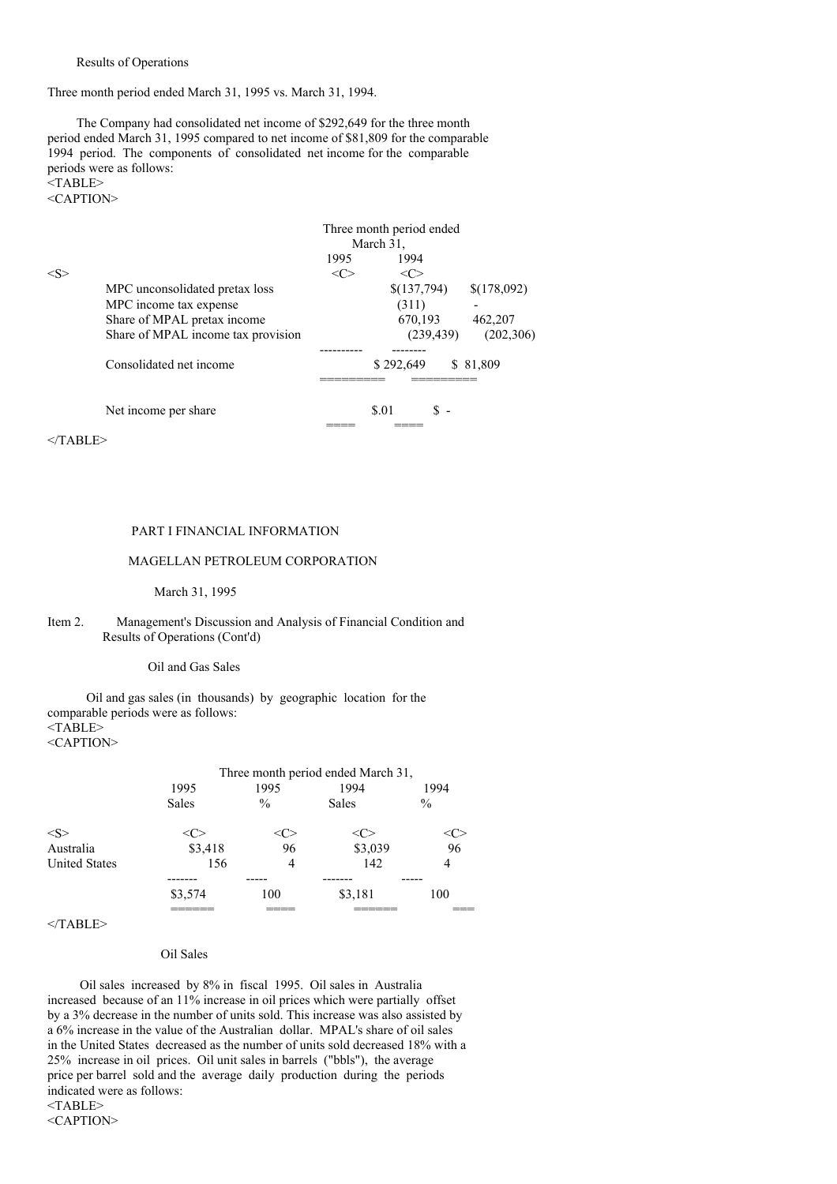Results of Operations

Three month period ended March 31, 1995 vs. March 31, 1994.

The Company had consolidated net income of \$292,649 for the three month period ended March 31, 1995 compared to net income of \$81,809 for the comparable 1994 period. The components of consolidated net income for the comparable periods were as follows: <TABLE>

<CAPTION>

|     | Three month period ended           |           |             |             |  |  |  |  |
|-----|------------------------------------|-----------|-------------|-------------|--|--|--|--|
|     |                                    | March 31, |             |             |  |  |  |  |
|     |                                    | 1995      | 1994        |             |  |  |  |  |
| < S |                                    |           | <c></c>     |             |  |  |  |  |
|     | MPC unconsolidated pretax loss     |           | \$(137,794) | \$(178,092) |  |  |  |  |
|     | MPC income tax expense             |           | (311)       |             |  |  |  |  |
|     | Share of MPAL pretax income        |           | 670,193     | 462,207     |  |  |  |  |
|     | Share of MPAL income tax provision |           | (239, 439)  | (202, 306)  |  |  |  |  |
|     |                                    |           |             |             |  |  |  |  |
|     | Consolidated net income            |           | \$292,649   | \$ 81,809   |  |  |  |  |
|     |                                    |           |             |             |  |  |  |  |
|     | Net income per share               |           | \$.01       |             |  |  |  |  |
|     |                                    |           |             |             |  |  |  |  |

 $<$ /TABLE>

### PART I FINANCIAL INFORMATION

### MAGELLAN PETROLEUM CORPORATION

March 31, 1995

### Item 2. Management's Discussion and Analysis of Financial Condition and Results of Operations (Cont'd)

#### Oil and Gas Sales

Oil and gas sales (in thousands) by geographic location for the comparable periods were as follows:  $\langle TABLE \rangle$ <CAPTION>

|                      | Three month period ended March 31, |               |         |               |  |  |  |
|----------------------|------------------------------------|---------------|---------|---------------|--|--|--|
|                      | 1995                               | 1995          | 1994    | 1994          |  |  |  |
|                      | <b>Sales</b>                       | $\frac{0}{0}$ | Sales   | $\frac{0}{0}$ |  |  |  |
| $<\leq>$             |                                    |               | ( :     |               |  |  |  |
| Australia            | \$3,418                            | 96            | \$3,039 | 96            |  |  |  |
| <b>United States</b> | 156                                | 4             | 142     | 4             |  |  |  |
|                      |                                    |               |         |               |  |  |  |
|                      | \$3,574                            | 100           | \$3,181 | 100           |  |  |  |
|                      |                                    |               |         |               |  |  |  |

### $<$ /TABLE>

# Oil Sales

Oil sales increased by 8% in fiscal 1995. Oil sales in Australia increased because of an 11% increase in oil prices which were partially offset by a 3% decrease in the number of units sold. This increase was also assisted by a 6% increase in the value of the Australian dollar. MPAL's share of oil sales in the United States decreased as the number of units sold decreased 18% with a 25% increase in oil prices. Oil unit sales in barrels ("bbls"), the average price per barrel sold and the average daily production during the periods indicated were as follows: <TABLE>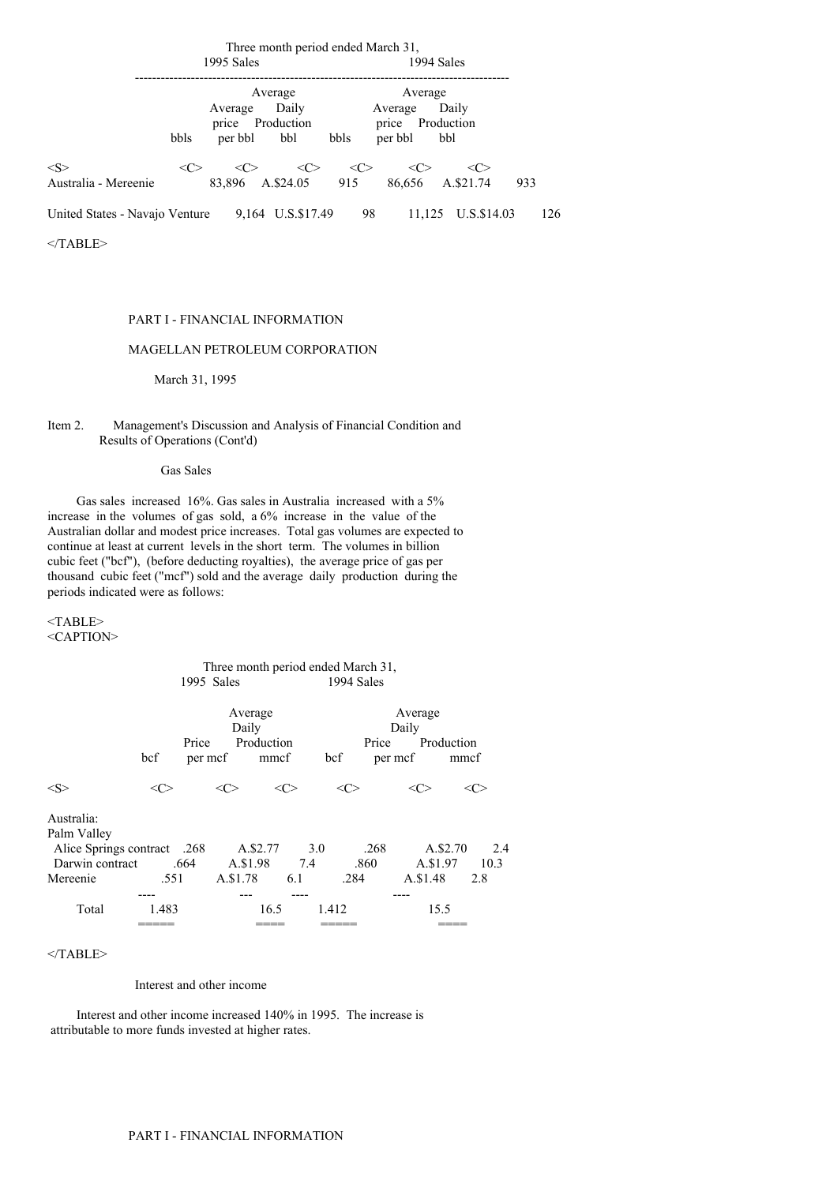|                                | Three month period ended March 31, |                                        |                                  |                                     |                     |                            |     |     |
|--------------------------------|------------------------------------|----------------------------------------|----------------------------------|-------------------------------------|---------------------|----------------------------|-----|-----|
|                                |                                    | 1995 Sales                             |                                  |                                     | 1994 Sales          |                            |     |     |
|                                | bbls                               | Average<br>price Production<br>per bbl | Average<br>Daily<br>bbl          | Average<br>price<br>bbls<br>per bbl | Average             | Daily<br>Production<br>bbl |     |     |
| < S ><br>Australia - Mereenie  | <<>                                | $\langle C \rangle$<br>83,896          | $\langle C \rangle$<br>A.\$24.05 | <<><br>915                          | $\langle C \rangle$ | <<><br>86,656 A.\$21.74    | 933 |     |
| United States - Navajo Venture |                                    |                                        | 9,164 U.S.\$17.49                | 98                                  | 11.125              | U.S.\$14.03                |     | 126 |
| $\langle$ TABLE>               |                                    |                                        |                                  |                                     |                     |                            |     |     |

PART I - FINANCIAL INFORMATION

### MAGELLAN PETROLEUM CORPORATION

March 31, 1995

### Item 2. Management's Discussion and Analysis of Financial Condition and Results of Operations (Cont'd)

Gas Sales

Gas sales increased 16%. Gas sales in Australia increased with a 5% increase in the volumes of gas sold, a 6% increase in the value of the Australian dollar and modest price increases. Total gas volumes are expected to continue at least at current levels in the short term. The volumes in billion cubic feet ("bcf"), (before deducting royalties), the average price of gas per thousand cubic feet ("mcf") sold and the average daily production during the periods indicated were as follows:

<TABLE> <CAPTION>

### Three month period ended March 31, 1995 Sales 1994 Sales

|                                                                             | bcf     | Price<br>per mcf | Average<br>Daily<br>Production | mmcf       | bcf     | Average<br>Daily<br>Price<br>per mcf | Production<br>mmcf   |             |
|-----------------------------------------------------------------------------|---------|------------------|--------------------------------|------------|---------|--------------------------------------|----------------------|-------------|
| $<\leq$                                                                     | <c></c> |                  |                                | <<>        | <c></c> |                                      |                      | <( ∵        |
| Australia:<br>Palm Valley<br>Alice Springs contract .268<br>Darwin contract |         | .664             | A.\$2.77<br>A.\$1.98           | 3.0<br>7.4 | .860    | .268                                 | A.\$2.70<br>A.\$1.97 | 2.4<br>10.3 |
| Mereenie                                                                    | .551    |                  | A.\$1.78                       | 6.1        | .284    |                                      | A.\$1.48             | 2.8         |
| Total                                                                       | 1.483   |                  | 16.5                           |            | 1.412   |                                      | 15.5                 |             |

 $<$ /TABLE>

Interest and other income

Interest and other income increased 140% in 1995. The increase is attributable to more funds invested at higher rates.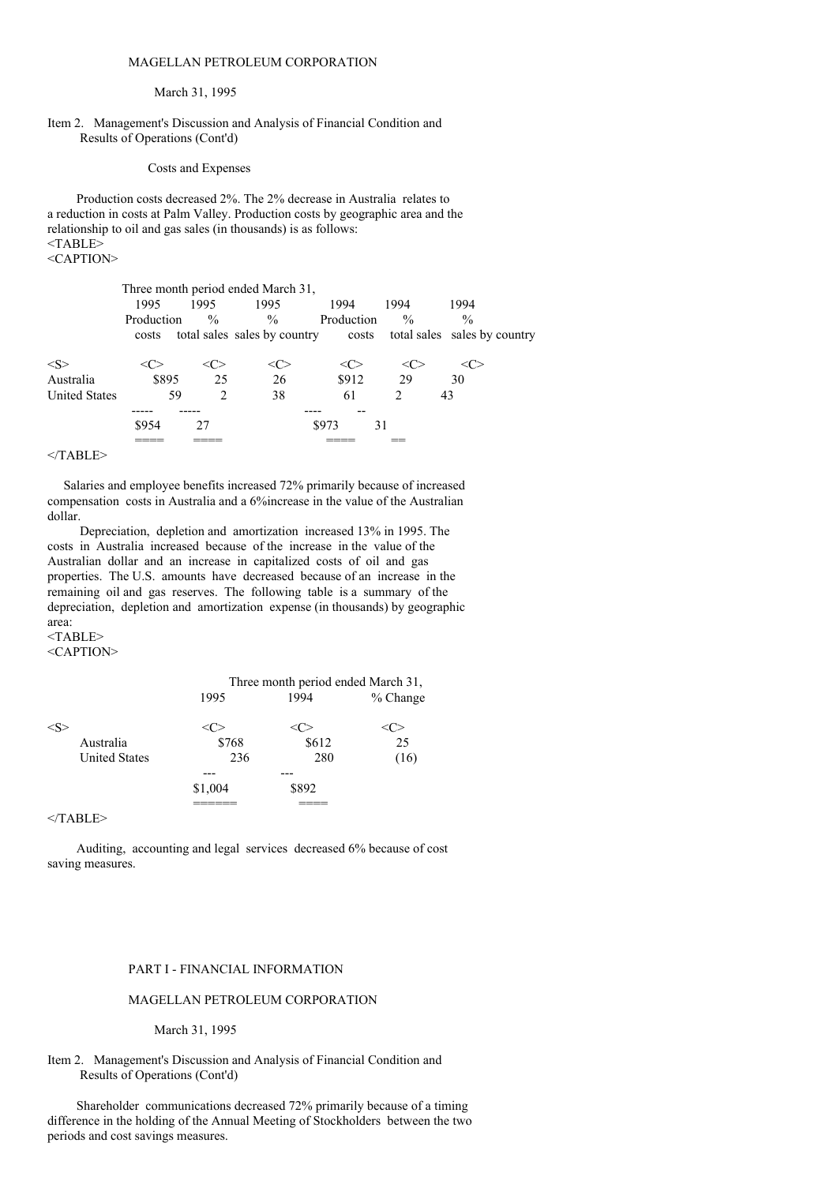### MAGELLAN PETROLEUM CORPORATION

#### March 31, 1995

### Item 2. Management's Discussion and Analysis of Financial Condition and Results of Operations (Cont'd)

#### Costs and Expenses

Production costs decreased 2%. The 2% decrease in Australia relates to a reduction in costs at Palm Valley. Production costs by geographic area and the relationship to oil and gas sales (in thousands) is as follows:  $<$ TABLE> <CAPTION>

|                      |            |               | Three month period ended March 31, |            |                |                              |
|----------------------|------------|---------------|------------------------------------|------------|----------------|------------------------------|
|                      | 1995       | 1995          | 1995                               | 1994       | 1994           | 1994                         |
|                      | Production | $\frac{0}{0}$ | $\frac{0}{0}$                      | Production | $\frac{0}{0}$  | $\frac{0}{0}$                |
|                      | costs      |               | total sales sales by country       | costs      |                | total sales sales by country |
| $\leq S$             |            |               |                                    | <( ∵       |                | <ো>                          |
| Australia            | \$895      | 25            | 26                                 | \$912      | 29             | 30                           |
| <b>United States</b> | 59         | $\mathcal{L}$ | 38                                 | 61         | $\mathfrak{D}$ | 43                           |
|                      |            |               |                                    |            |                |                              |
|                      | \$954      | 27            |                                    | \$973      | 31             |                              |
|                      |            |               |                                    |            |                |                              |

## $<$ /TABLE>

Salaries and employee benefits increased 72% primarily because of increased compensation costs in Australia and a 6%increase in the value of the Australian dollar.

Depreciation, depletion and amortization increased 13% in 1995. The costs in Australia increased because of the increase in the value of the Australian dollar and an increase in capitalized costs of oil and gas properties. The U.S. amounts have decreased because of an increase in the remaining oil and gas reserves. The following table is a summary of the depreciation, depletion and amortization expense (in thousands) by geographic area:  $<$ TABLE>

<CAPTION>

|                      | Three month period ended March 31, |       |            |  |  |
|----------------------|------------------------------------|-------|------------|--|--|
|                      | 1995                               | 1994  | $%$ Change |  |  |
|                      |                                    |       |            |  |  |
| Australia            | \$768                              | \$612 | 25         |  |  |
| <b>United States</b> | 236                                | 280   | (16)       |  |  |
|                      |                                    |       |            |  |  |
|                      | \$1,004                            | \$892 |            |  |  |
|                      |                                    |       |            |  |  |
|                      |                                    |       |            |  |  |

 $<$ /TABLE>

Auditing, accounting and legal services decreased 6% because of cost saving measures.

### PART I - FINANCIAL INFORMATION

## MAGELLAN PETROLEUM CORPORATION

#### March 31, 1995

### Item 2. Management's Discussion and Analysis of Financial Condition and Results of Operations (Cont'd)

Shareholder communications decreased 72% primarily because of a timing difference in the holding of the Annual Meeting of Stockholders between the two periods and cost savings measures.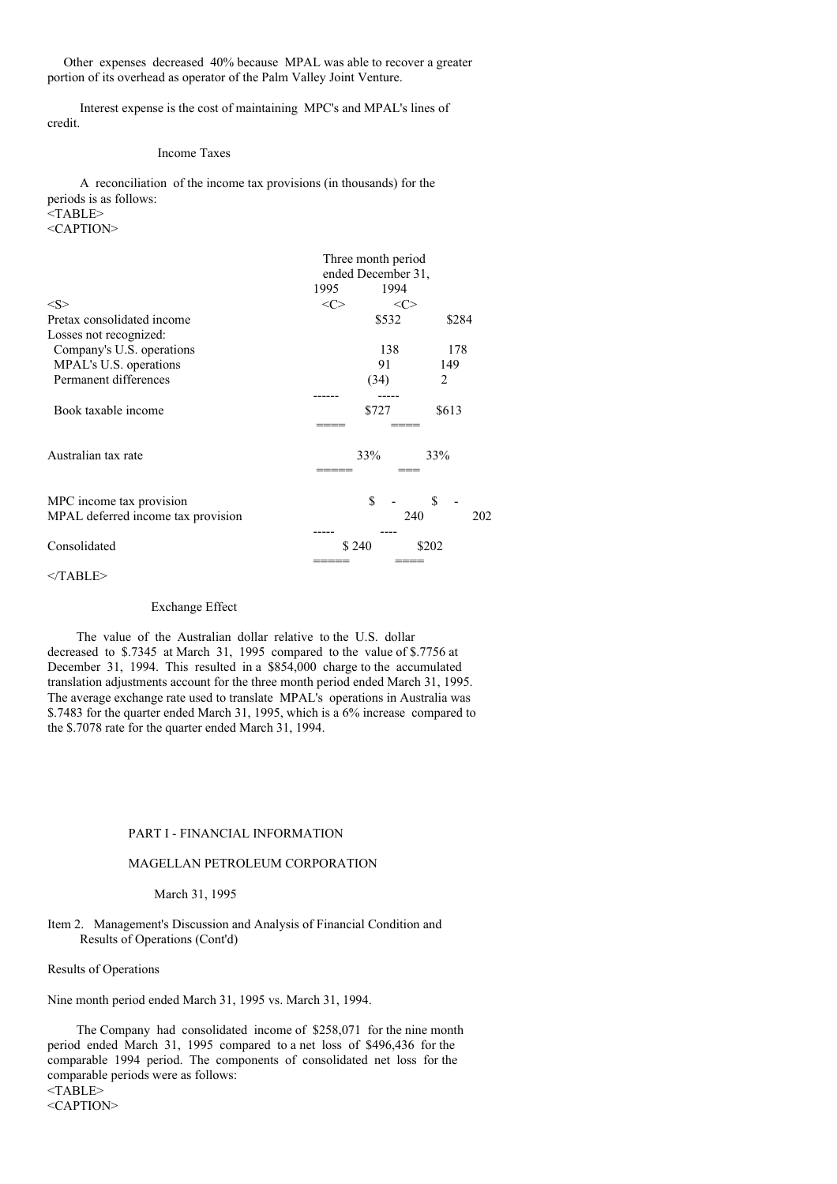Other expenses decreased 40% because MPAL was able to recover a greater portion of its overhead as operator of the Palm Valley Joint Venture.

Interest expense is the cost of maintaining MPC's and MPAL's lines of credit.

### Income Taxes

A reconciliation of the income tax provisions (in thousands) for the periods is as follows: <TABLE> <CAPTION>

|                                    | Three month period<br>ended December 31, |               |               |  |
|------------------------------------|------------------------------------------|---------------|---------------|--|
|                                    | 1995                                     | 1994          |               |  |
| < S >                              | <c></c>                                  | $<\!\!C\!\!>$ |               |  |
| Pretax consolidated income         |                                          | \$532         | \$284         |  |
| Losses not recognized:             |                                          |               |               |  |
| Company's U.S. operations          |                                          | 138           | 178           |  |
| MPAL's U.S. operations             |                                          | 91            | 149           |  |
| Permanent differences              |                                          | (34)          | $\mathcal{L}$ |  |
|                                    |                                          |               |               |  |
| Book taxable income                |                                          | \$727         | \$613         |  |
|                                    |                                          |               |               |  |
| Australian tax rate                |                                          | 33%           | 33%           |  |
|                                    |                                          |               |               |  |
| MPC income tax provision           |                                          | \$            | \$            |  |
| MPAL deferred income tax provision |                                          | 240           | 202           |  |
|                                    |                                          |               |               |  |
| Consolidated                       |                                          | \$240         | \$202         |  |
|                                    |                                          |               |               |  |

### $<$ /TABLE>

### Exchange Effect

The value of the Australian dollar relative to the U.S. dollar decreased to \$.7345 at March 31, 1995 compared to the value of \$.7756 at December 31, 1994. This resulted in a \$854,000 charge to the accumulated translation adjustments account for the three month period ended March 31, 1995. The average exchange rate used to translate MPAL's operations in Australia was \$.7483 for the quarter ended March 31, 1995, which is a 6% increase compared to the \$.7078 rate for the quarter ended March 31, 1994.

#### PART I - FINANCIAL INFORMATION

#### MAGELLAN PETROLEUM CORPORATION

#### March 31, 1995

### Item 2. Management's Discussion and Analysis of Financial Condition and Results of Operations (Cont'd)

Results of Operations

Nine month period ended March 31, 1995 vs. March 31, 1994.

The Company had consolidated income of \$258,071 for the nine month period ended March 31, 1995 compared to a net loss of \$496,436 for the comparable 1994 period. The components of consolidated net loss for the comparable periods were as follows: <TABLE>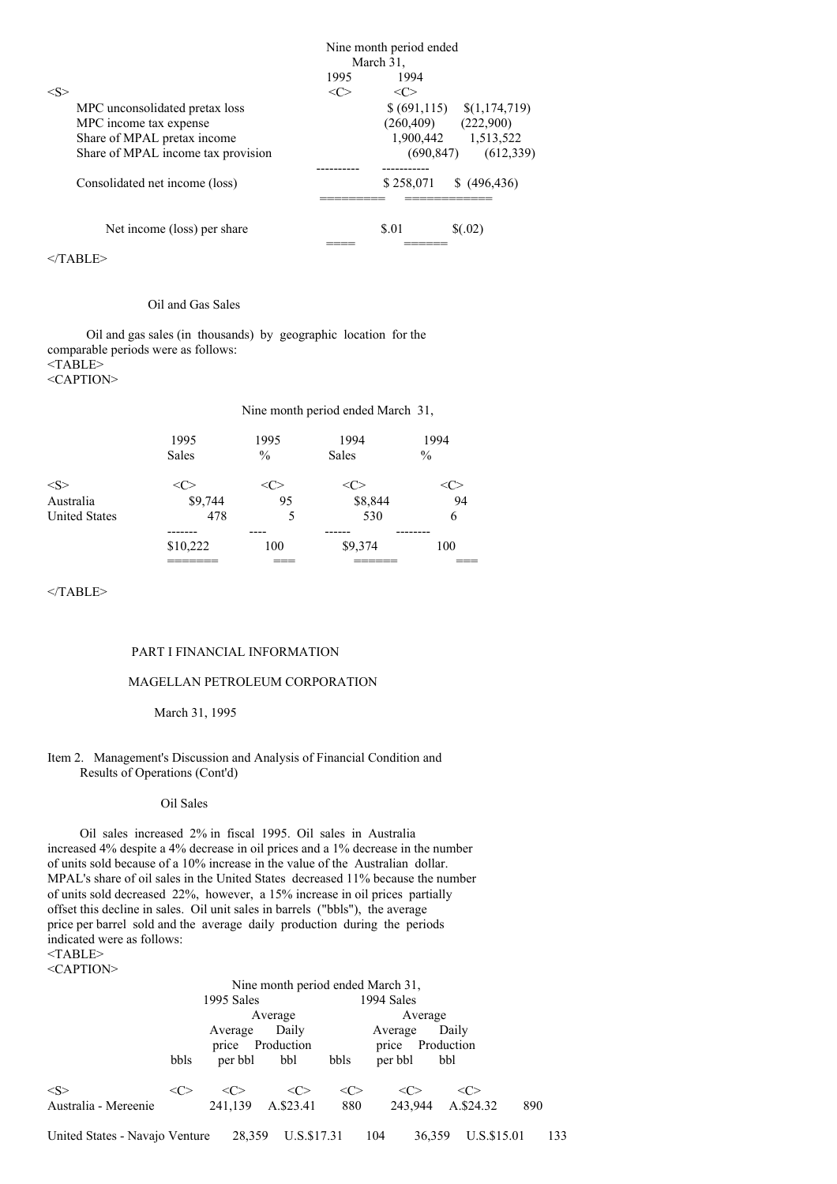|         |                                    |         | Nine month period ended<br>March 31, |                                 |
|---------|------------------------------------|---------|--------------------------------------|---------------------------------|
|         |                                    | 1995    | 1994                                 |                                 |
| $<\leq$ |                                    | <c></c> | <<>                                  |                                 |
|         | MPC unconsolidated pretax loss     |         |                                      | $$(691,115) \quad $(1,174,719)$ |
|         | MPC income tax expense             |         | (260, 409)                           | (222,900)                       |
|         | Share of MPAL pretax income        |         |                                      | 1,900,442 1,513,522             |
|         | Share of MPAL income tax provision |         | (690, 847)                           | (612, 339)                      |
|         |                                    |         |                                      |                                 |
|         | Consolidated net income (loss)     |         | \$258,071                            | \$ (496, 436)                   |
|         |                                    |         |                                      |                                 |
|         | Net income (loss) per share        |         | \$.01                                | \$(.02)                         |
|         |                                    |         |                                      |                                 |

### Oil and Gas Sales

Oil and gas sales (in thousands) by geographic location for the comparable periods were as follows:  $<$ TABLE $>$ <CAPTION>

Nine month period ended March 31,

|                       | 1995<br><b>Sales</b> | 1995<br>$\frac{0}{0}$ | 1994<br><b>Sales</b> | 1994<br>$\%$ |
|-----------------------|----------------------|-----------------------|----------------------|--------------|
| <s><br/>Australia</s> | \$9,744              | 95                    | \$8,844              | 94           |
| <b>United States</b>  | 478                  | 5                     | 530                  | 6            |
|                       |                      |                       |                      |              |
|                       | \$10,222             | 100                   | \$9,374              | 100          |
|                       |                      |                       |                      |              |

 $<$ /TABLE>

### PART I FINANCIAL INFORMATION

#### MAGELLAN PETROLEUM CORPORATION

#### March 31, 1995

### Item 2. Management's Discussion and Analysis of Financial Condition and Results of Operations (Cont'd)

### Oil Sales

Oil sales increased 2% in fiscal 1995. Oil sales in Australia increased 4% despite a 4% decrease in oil prices and a 1% decrease in the number of units sold because of a 10% increase in the value of the Australian dollar. MPAL's share of oil sales in the United States decreased 11% because the number of units sold decreased 22%, however, a 15% increase in oil prices partially offset this decline in sales. Oil unit sales in barrels ("bbls"), the average price per barrel sold and the average daily production during the periods indicated were as follows: <TABLE>

|                                |       |              | Nine month period ended March 31, |               |               |             |     |     |
|--------------------------------|-------|--------------|-----------------------------------|---------------|---------------|-------------|-----|-----|
|                                |       | 1995 Sales   |                                   |               | 1994 Sales    |             |     |     |
|                                |       | Average      |                                   | Average       |               |             |     |     |
|                                |       | Average      | Daily                             |               | Average       | Daily       |     |     |
|                                |       | price        | Production                        |               | price         | Production  |     |     |
|                                | bbls  | per bbl      | bbl                               | bbls          | per bbl       | bbl         |     |     |
| $<\!\!S\!\!>$                  | <( `> | $\langle$ C> | <<>                               | $<\!\!C\!\!>$ | <c></c>       | <c></c>     |     |     |
| Australia - Mereenie           |       | 241,139      | A.\$23.41                         | 880           | 243,944       | A.\$24.32   | 890 |     |
| United States - Navajo Venture |       | 28,359       | U.S.\$17.31                       |               | 104<br>36.359 | U.S.\$15.01 |     | 133 |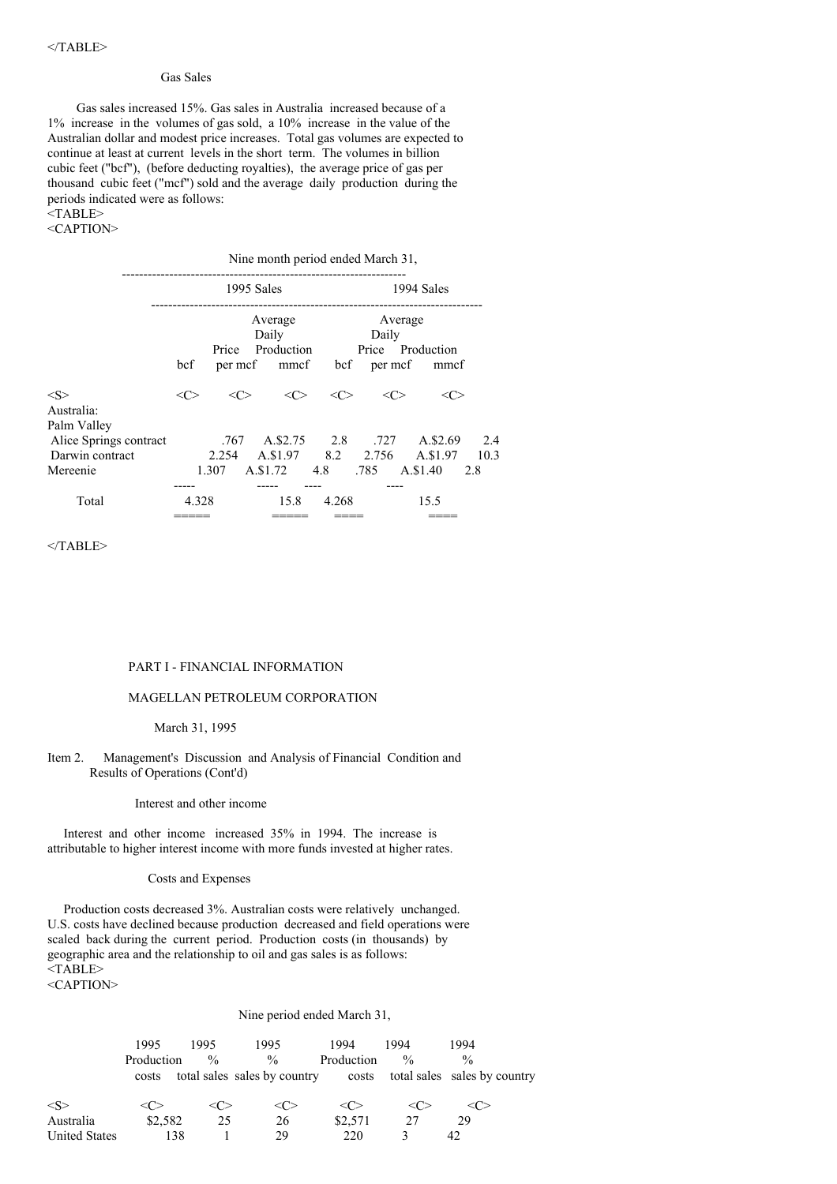#### Gas Sales

Gas sales increased 15%. Gas sales in Australia increased because of a 1% increase in the volumes of gas sold, a 10% increase in the value of the Australian dollar and modest price increases. Total gas volumes are expected to continue at least at current levels in the short term. The volumes in billion cubic feet ("bcf"), (before deducting royalties), the average price of gas per thousand cubic feet ("mcf") sold and the average daily production during the periods indicated were as follows: <TABLE>

#### <CAPTION>

Nine month period ended March 31,

|                                                          | 1995 Sales    |       |  |                                | 1994 Sales |       |                                                                |             |
|----------------------------------------------------------|---------------|-------|--|--------------------------------|------------|-------|----------------------------------------------------------------|-------------|
|                                                          | bcf           | Price |  | Average<br>Daily<br>Production |            | Daily | Average<br>Price Production<br>per mcf mmcf bcf per mcf mmcf   |             |
| $<\leq>$<br>Australia:                                   | $<\!\!C\!\!>$ | <<    |  | $\langle C \rangle$            | <<>        | <<>   | <c></c>                                                        |             |
| Palm Valley<br>Alice Springs contract<br>Darwin contract |               | 2.254 |  |                                |            |       | .767 A.\$2.75 2.8 .727 A.\$2.69<br>A.\$1.97 8.2 2.756 A.\$1.97 | 2.4<br>10.3 |
| Mereenie                                                 |               | 1.307 |  |                                |            |       | A.\$1.72 4.8 .785 A.\$1.40 2.8                                 |             |
| Total                                                    | 4.328         |       |  | 15.8                           | 4.268      |       | 15.5                                                           |             |

 $<$ /TABLE>

#### PART I - FINANCIAL INFORMATION

### MAGELLAN PETROLEUM CORPORATION

# March 31, 1995

### Item 2. Management's Discussion and Analysis of Financial Condition and Results of Operations (Cont'd)

#### Interest and other income

Interest and other income increased 35% in 1994. The increase is attributable to higher interest income with more funds invested at higher rates.

#### Costs and Expenses

Production costs decreased 3%. Australian costs were relatively unchanged. U.S. costs have declined because production decreased and field operations were scaled back during the current period. Production costs (in thousands) by geographic area and the relationship to oil and gas sales is as follows: <TABLE>

<CAPTION>

#### Nine period ended March 31,

|               | 1995       | 1995            | 1995                         | 1994       | 1994          | 1994                         |
|---------------|------------|-----------------|------------------------------|------------|---------------|------------------------------|
|               | Production | $\frac{0}{0}$   | $\frac{0}{0}$                | Production | $\frac{0}{0}$ | $\frac{0}{0}$                |
|               | costs      |                 | total sales sales by country | costs      |               | total sales sales by country |
| $<\!\!S\!\!>$ |            | $\langle$ C $>$ | $\langle C \rangle$          | <( '>      |               |                              |
| Australia     | \$2,582    | 25              | 26                           | \$2,571    | 27            | 29                           |
| United States | 138        |                 | 29                           | 220        |               |                              |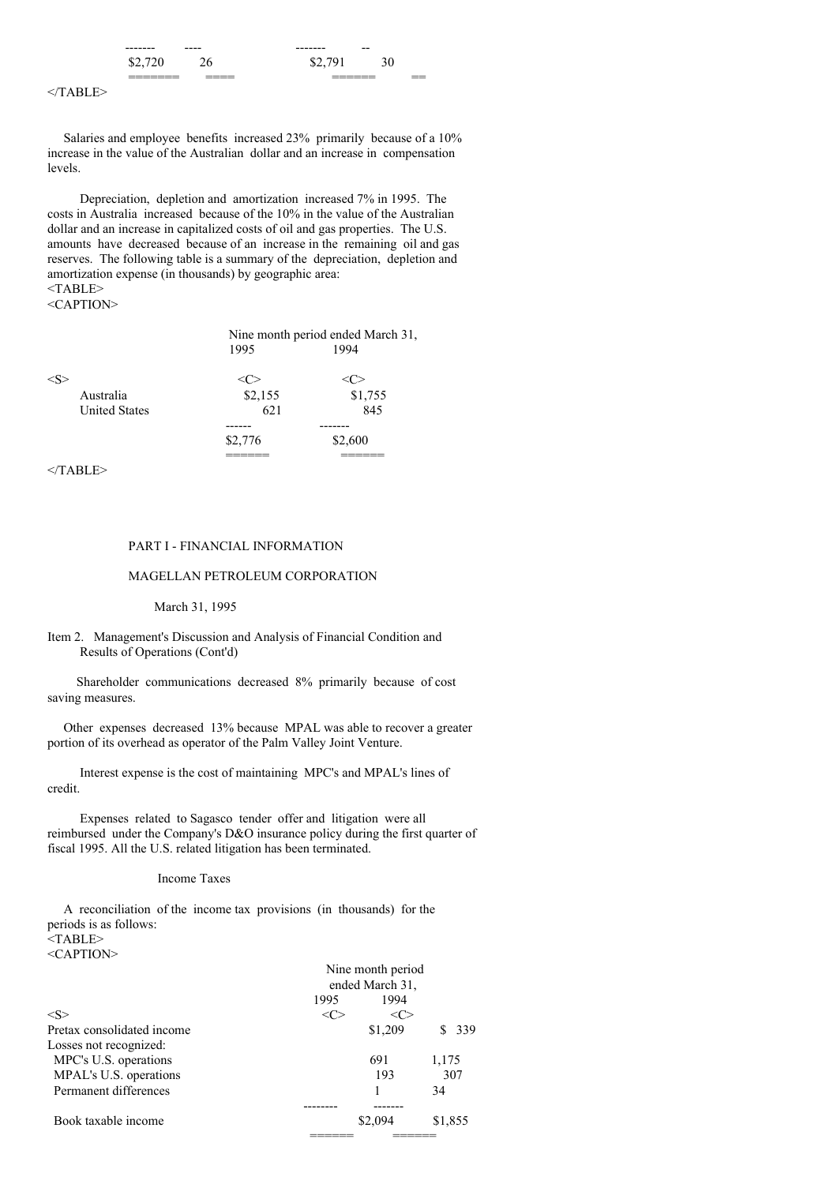| --------           | ----           | -------     | $- -$              |          |
|--------------------|----------------|-------------|--------------------|----------|
| \$2.               | - -            | 70 I<br>v., | v<br>◡             |          |
| _______<br>_______ | ____<br>______ |             | _______<br>_______ | __<br>-- |

Salaries and employee benefits increased 23% primarily because of a 10% increase in the value of the Australian dollar and an increase in compensation levels.

Depreciation, depletion and amortization increased 7% in 1995. The costs in Australia increased because of the 10% in the value of the Australian dollar and an increase in capitalized costs of oil and gas properties. The U.S. amounts have decreased because of an increase in the remaining oil and gas reserves. The following table is a summary of the depreciation, depletion and amortization expense (in thousands) by geographic area:  $<$ TABLE>

<CAPTION>

|                                    | Nine month period ended March 31, |         |  |
|------------------------------------|-----------------------------------|---------|--|
|                                    | 1995                              | 1994    |  |
|                                    |                                   |         |  |
| Australia                          | \$2,155                           | \$1,755 |  |
| <b>United States</b>               | 621                               | 845     |  |
|                                    |                                   |         |  |
|                                    | \$2,776                           | \$2,600 |  |
|                                    |                                   |         |  |
| $\sim$ $\sim$ $\sim$ $\sim$ $\sim$ |                                   |         |  |

 $<$ /TABLE>

# PART I - FINANCIAL INFORMATION

# MAGELLAN PETROLEUM CORPORATION

March 31, 1995

# Item 2. Management's Discussion and Analysis of Financial Condition and Results of Operations (Cont'd)

Shareholder communications decreased 8% primarily because of cost saving measures.

Other expenses decreased 13% because MPAL was able to recover a greater portion of its overhead as operator of the Palm Valley Joint Venture.

Interest expense is the cost of maintaining MPC's and MPAL's lines of credit.

Expenses related to Sagasco tender offer and litigation were all reimbursed under the Company's D&O insurance policy during the first quarter of fiscal 1995. All the U.S. related litigation has been terminated.

#### Income Taxes

A reconciliation of the income tax provisions (in thousands) for the periods is as follows: <TABLE>

|                            | Nine month period<br>ended March 31, |         |         |     |
|----------------------------|--------------------------------------|---------|---------|-----|
|                            | 1995                                 | 1994    |         |     |
| $<\!\!S\!\!>$              |                                      | <∈      |         |     |
| Pretax consolidated income |                                      | \$1,209 |         | 339 |
| Losses not recognized:     |                                      |         |         |     |
| MPC's U.S. operations      |                                      | 691     | 1,175   |     |
| MPAL's U.S. operations     |                                      | 193     | 307     |     |
| Permanent differences      |                                      |         | 34      |     |
|                            |                                      |         |         |     |
| Book taxable income        |                                      | \$2,094 | \$1,855 |     |
|                            |                                      |         |         |     |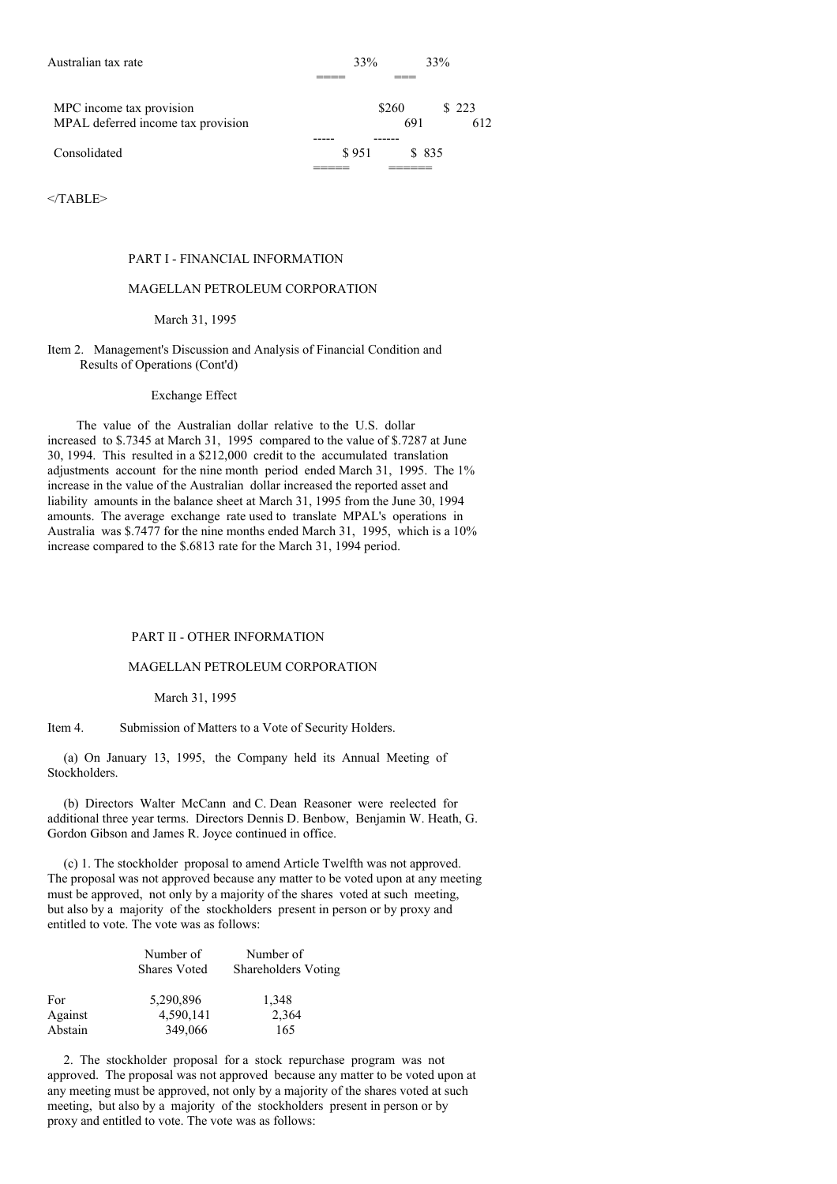| Australian tax rate                                            | 33%   |              | 33%           |
|----------------------------------------------------------------|-------|--------------|---------------|
|                                                                |       |              |               |
| MPC income tax provision<br>MPAL deferred income tax provision |       | \$260<br>691 | \$ 223<br>612 |
|                                                                |       |              |               |
| Consolidated                                                   | \$951 |              | \$ 835        |
|                                                                |       |              |               |

#### PART I - FINANCIAL INFORMATION

# MAGELLAN PETROLEUM CORPORATION

#### March 31, 1995

### Item 2. Management's Discussion and Analysis of Financial Condition and Results of Operations (Cont'd)

### Exchange Effect

The value of the Australian dollar relative to the U.S. dollar increased to \$.7345 at March 31, 1995 compared to the value of \$.7287 at June 30, 1994. This resulted in a \$212,000 credit to the accumulated translation adjustments account for the nine month period ended March 31, 1995. The 1% increase in the value of the Australian dollar increased the reported asset and liability amounts in the balance sheet at March 31, 1995 from the June 30, 1994 amounts. The average exchange rate used to translate MPAL's operations in Australia was \$.7477 for the nine months ended March 31, 1995, which is a 10% increase compared to the \$.6813 rate for the March 31, 1994 period.

### PART II - OTHER INFORMATION

### MAGELLAN PETROLEUM CORPORATION

#### March 31, 1995

Item 4. Submission of Matters to a Vote of Security Holders.

(a) On January 13, 1995, the Company held its Annual Meeting of Stockholders.

(b) Directors Walter McCann and C. Dean Reasoner were reelected for additional three year terms. Directors Dennis D. Benbow, Benjamin W. Heath, G. Gordon Gibson and James R. Joyce continued in office.

(c) 1. The stockholder proposal to amend Article Twelfth was not approved. The proposal was not approved because any matter to be voted upon at any meeting must be approved, not only by a majority of the shares voted at such meeting, but also by a majority of the stockholders present in person or by proxy and entitled to vote. The vote was as follows:

|         | Number of<br><b>Shares Voted</b> | Number of<br>Shareholders Voting |
|---------|----------------------------------|----------------------------------|
| For     | 5,290,896                        | 1,348                            |
| Against | 4,590,141                        | 2,364                            |
| Abstain | 349,066                          | 165                              |

2. The stockholder proposal for a stock repurchase program was not approved. The proposal was not approved because any matter to be voted upon at any meeting must be approved, not only by a majority of the shares voted at such meeting, but also by a majority of the stockholders present in person or by proxy and entitled to vote. The vote was as follows: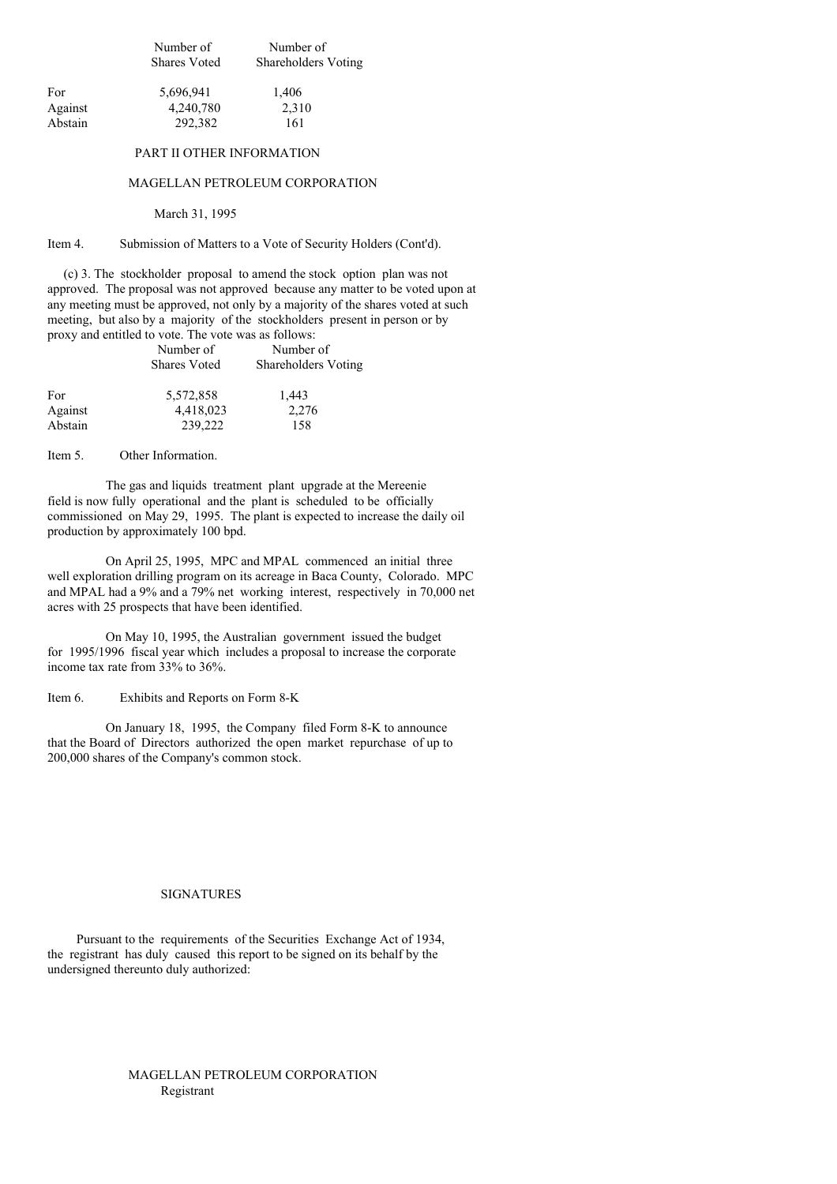Number of Number of Shares Voted Shareholders Voting

| For     | 5,696,941 | 1.406 |
|---------|-----------|-------|
| Against | 4,240,780 | 2,310 |
| Abstain | 292,382   | 161   |

### PART II OTHER INFORMATION

### MAGELLAN PETROLEUM CORPORATION

#### March 31, 1995

#### Item 4. Submission of Matters to a Vote of Security Holders (Cont'd).

(c) 3. The stockholder proposal to amend the stock option plan was not approved. The proposal was not approved because any matter to be voted upon at any meeting must be approved, not only by a majority of the shares voted at such meeting, but also by a majority of the stockholders present in person or by proxy and entitled to vote. The vote was as follows:

|         | Number of           | Number of           |
|---------|---------------------|---------------------|
|         | <b>Shares Voted</b> | Shareholders Voting |
| For     | 5,572,858           | 1,443               |
| Against | 4,418,023           | 2,276               |
| Abstain | 239,222             | 158                 |

Item 5. Other Information.

The gas and liquids treatment plant upgrade at the Mereenie field is now fully operational and the plant is scheduled to be officially commissioned on May 29, 1995. The plant is expected to increase the daily oil production by approximately 100 bpd.

On April 25, 1995, MPC and MPAL commenced an initial three well exploration drilling program on its acreage in Baca County, Colorado. MPC and MPAL had a 9% and a 79% net working interest, respectively in 70,000 net acres with 25 prospects that have been identified.

On May 10, 1995, the Australian government issued the budget for 1995/1996 fiscal year which includes a proposal to increase the corporate income tax rate from 33% to 36%.

Item 6. Exhibits and Reports on Form 8-K

On January 18, 1995, the Company filed Form 8-K to announce that the Board of Directors authorized the open market repurchase of up to 200,000 shares of the Company's common stock.

# SIGNATURES

Pursuant to the requirements of the Securities Exchange Act of 1934, the registrant has duly caused this report to be signed on its behalf by the undersigned thereunto duly authorized:

# MAGELLAN PETROLEUM CORPORATION Registrant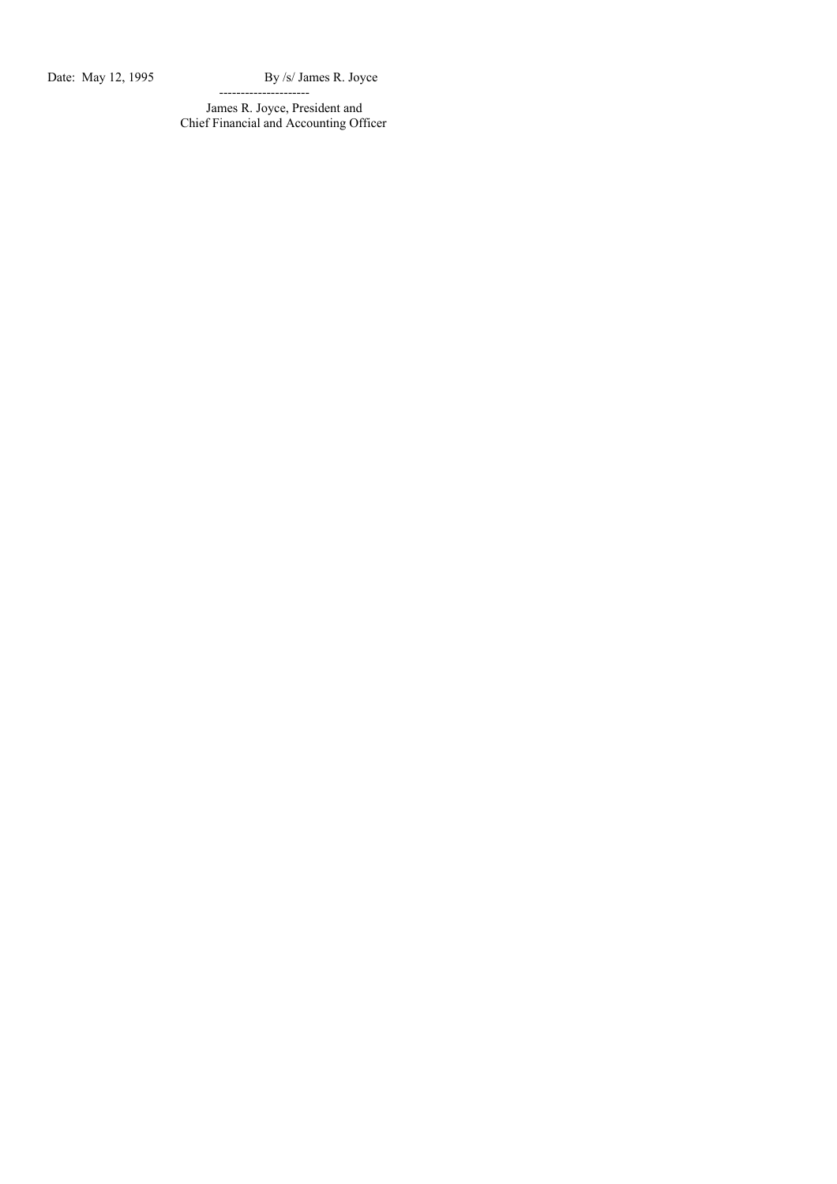Date: May 12, 1995 By /s/ James R. Joyce

--------------------- James R. Joyce, President and Chief Financial and Accounting Officer